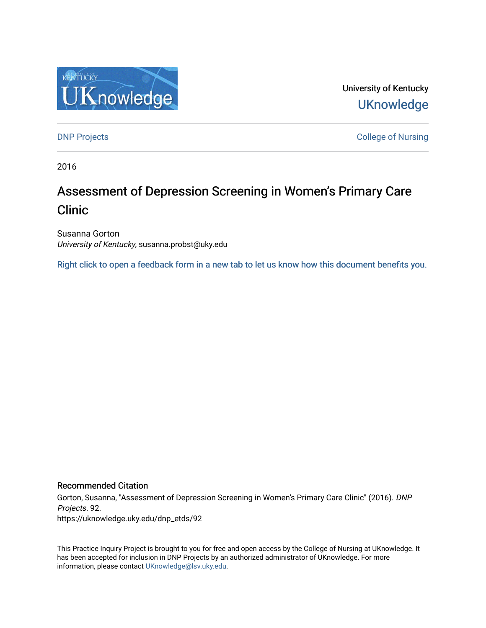

University of Kentucky **UKnowledge** 

[DNP Projects](https://uknowledge.uky.edu/dnp_etds) **College of Nursing** 

2016

# Assessment of Depression Screening in Women's Primary Care Clinic

Susanna Gorton University of Kentucky, susanna.probst@uky.edu

[Right click to open a feedback form in a new tab to let us know how this document benefits you.](https://uky.az1.qualtrics.com/jfe/form/SV_9mq8fx2GnONRfz7)

### Recommended Citation

Gorton, Susanna, "Assessment of Depression Screening in Women's Primary Care Clinic" (2016). DNP Projects. 92. https://uknowledge.uky.edu/dnp\_etds/92

This Practice Inquiry Project is brought to you for free and open access by the College of Nursing at UKnowledge. It has been accepted for inclusion in DNP Projects by an authorized administrator of UKnowledge. For more information, please contact [UKnowledge@lsv.uky.edu](mailto:UKnowledge@lsv.uky.edu).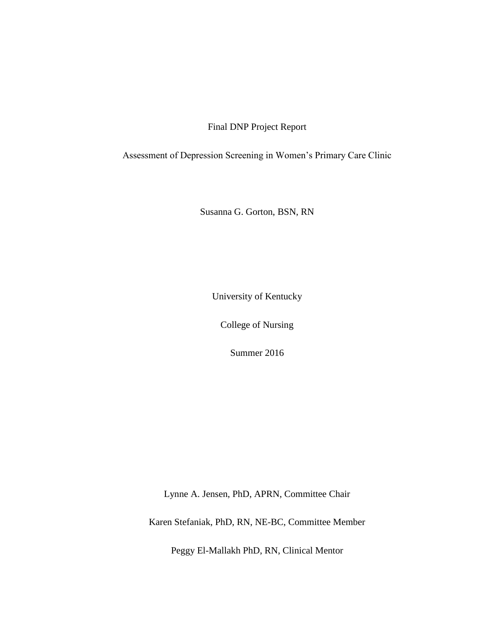Final DNP Project Report

Assessment of Depression Screening in Women's Primary Care Clinic

Susanna G. Gorton, BSN, RN

University of Kentucky

College of Nursing

Summer 2016

Lynne A. Jensen, PhD, APRN, Committee Chair

Karen Stefaniak, PhD, RN, NE-BC, Committee Member

Peggy El-Mallakh PhD, RN, Clinical Mentor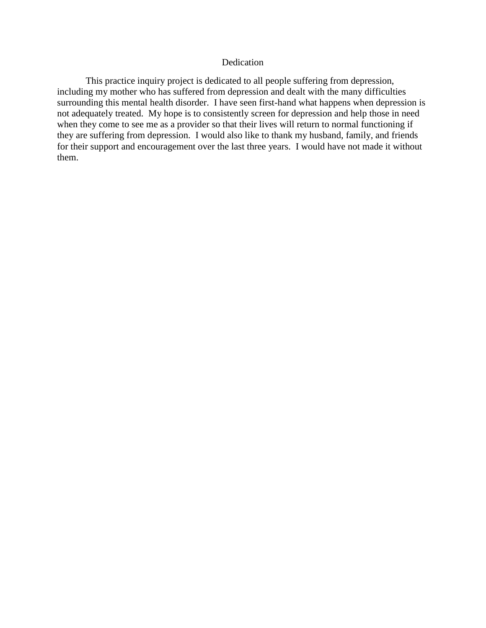# Dedication

This practice inquiry project is dedicated to all people suffering from depression, including my mother who has suffered from depression and dealt with the many difficulties surrounding this mental health disorder. I have seen first-hand what happens when depression is not adequately treated. My hope is to consistently screen for depression and help those in need when they come to see me as a provider so that their lives will return to normal functioning if they are suffering from depression. I would also like to thank my husband, family, and friends for their support and encouragement over the last three years. I would have not made it without them.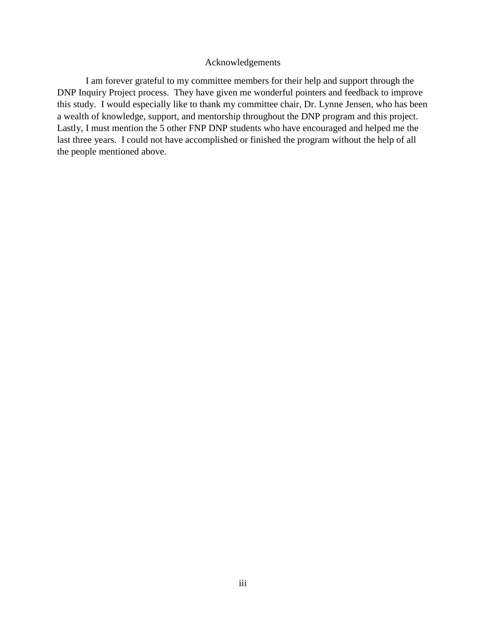# Acknowledgements

I am forever grateful to my committee members for their help and support through the DNP Inquiry Project process. They have given me wonderful pointers and feedback to improve this study. I would especially like to thank my committee chair, Dr. Lynne Jensen, who has been a wealth of knowledge, support, and mentorship throughout the DNP program and this project. Lastly, I must mention the 5 other FNP DNP students who have encouraged and helped me the last three years. I could not have accomplished or finished the program without the help of all the people mentioned above.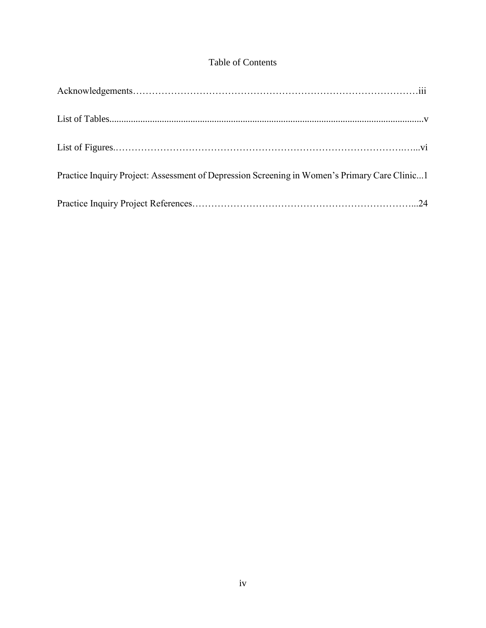# Table of Contents

| Practice Inquiry Project: Assessment of Depression Screening in Women's Primary Care Clinic1 |  |
|----------------------------------------------------------------------------------------------|--|
|                                                                                              |  |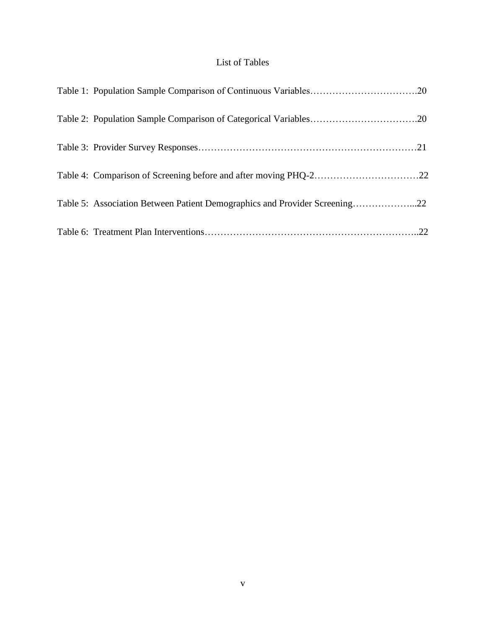# List of Tables

| Table 4: Comparison of Screening before and after moving PHQ-222           |  |
|----------------------------------------------------------------------------|--|
| Table 5: Association Between Patient Demographics and Provider Screening22 |  |
|                                                                            |  |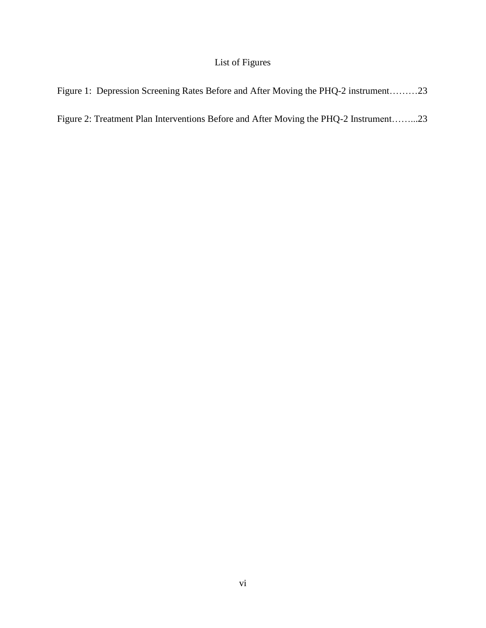# List of Figures

Figure 1: Depression Screening Rates Before and After Moving the PHQ-2 instrument………23

Figure 2: Treatment Plan Interventions Before and After Moving the PHQ-2 Instrument……...23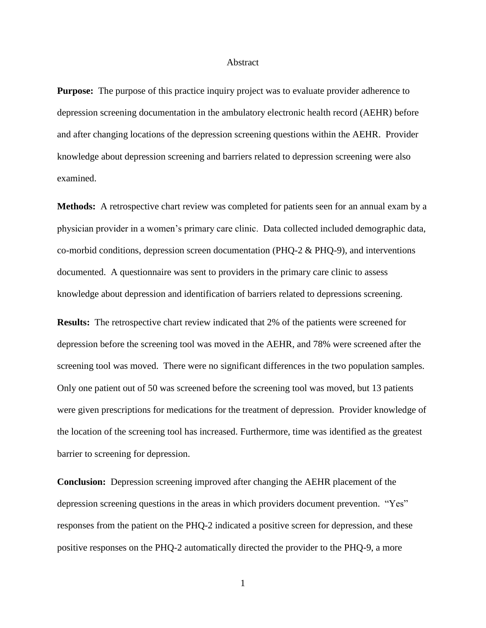#### Abstract

**Purpose:** The purpose of this practice inquiry project was to evaluate provider adherence to depression screening documentation in the ambulatory electronic health record (AEHR) before and after changing locations of the depression screening questions within the AEHR. Provider knowledge about depression screening and barriers related to depression screening were also examined.

**Methods:** A retrospective chart review was completed for patients seen for an annual exam by a physician provider in a women's primary care clinic. Data collected included demographic data, co-morbid conditions, depression screen documentation (PHQ-2 & PHQ-9), and interventions documented. A questionnaire was sent to providers in the primary care clinic to assess knowledge about depression and identification of barriers related to depressions screening.

**Results:** The retrospective chart review indicated that 2% of the patients were screened for depression before the screening tool was moved in the AEHR, and 78% were screened after the screening tool was moved. There were no significant differences in the two population samples. Only one patient out of 50 was screened before the screening tool was moved, but 13 patients were given prescriptions for medications for the treatment of depression. Provider knowledge of the location of the screening tool has increased. Furthermore, time was identified as the greatest barrier to screening for depression.

**Conclusion:** Depression screening improved after changing the AEHR placement of the depression screening questions in the areas in which providers document prevention. "Yes" responses from the patient on the PHQ-2 indicated a positive screen for depression, and these positive responses on the PHQ-2 automatically directed the provider to the PHQ-9, a more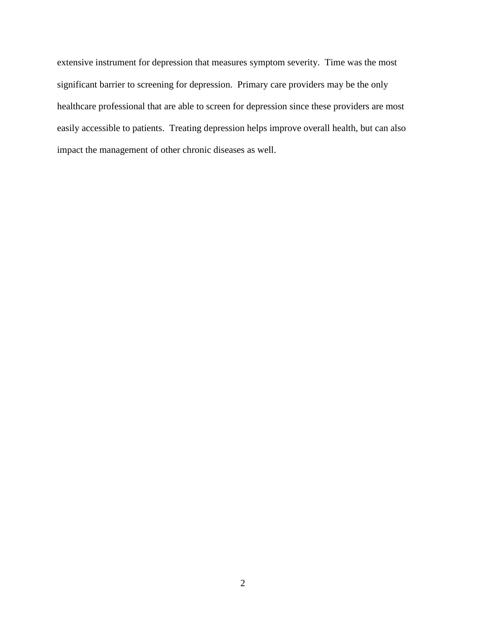extensive instrument for depression that measures symptom severity. Time was the most significant barrier to screening for depression. Primary care providers may be the only healthcare professional that are able to screen for depression since these providers are most easily accessible to patients. Treating depression helps improve overall health, but can also impact the management of other chronic diseases as well.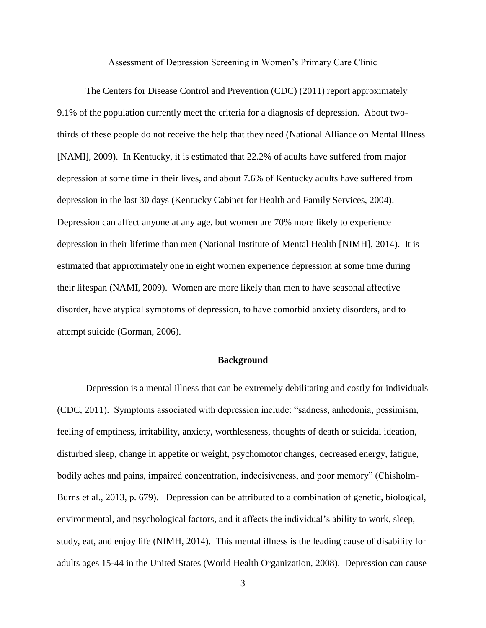Assessment of Depression Screening in Women's Primary Care Clinic

The Centers for Disease Control and Prevention (CDC) (2011) report approximately 9.1% of the population currently meet the criteria for a diagnosis of depression. About twothirds of these people do not receive the help that they need (National Alliance on Mental Illness [NAMI], 2009). In Kentucky, it is estimated that 22.2% of adults have suffered from major depression at some time in their lives, and about 7.6% of Kentucky adults have suffered from depression in the last 30 days (Kentucky Cabinet for Health and Family Services, 2004). Depression can affect anyone at any age, but women are 70% more likely to experience depression in their lifetime than men (National Institute of Mental Health [NIMH], 2014). It is estimated that approximately one in eight women experience depression at some time during their lifespan (NAMI, 2009). Women are more likely than men to have seasonal affective disorder, have atypical symptoms of depression, to have comorbid anxiety disorders, and to attempt suicide (Gorman, 2006).

#### **Background**

Depression is a mental illness that can be extremely debilitating and costly for individuals (CDC, 2011). Symptoms associated with depression include: "sadness, anhedonia, pessimism, feeling of emptiness, irritability, anxiety, worthlessness, thoughts of death or suicidal ideation, disturbed sleep, change in appetite or weight, psychomotor changes, decreased energy, fatigue, bodily aches and pains, impaired concentration, indecisiveness, and poor memory" (Chisholm-Burns et al., 2013, p. 679). Depression can be attributed to a combination of genetic, biological, environmental, and psychological factors, and it affects the individual's ability to work, sleep, study, eat, and enjoy life (NIMH, 2014). This mental illness is the leading cause of disability for adults ages 15-44 in the United States (World Health Organization, 2008). Depression can cause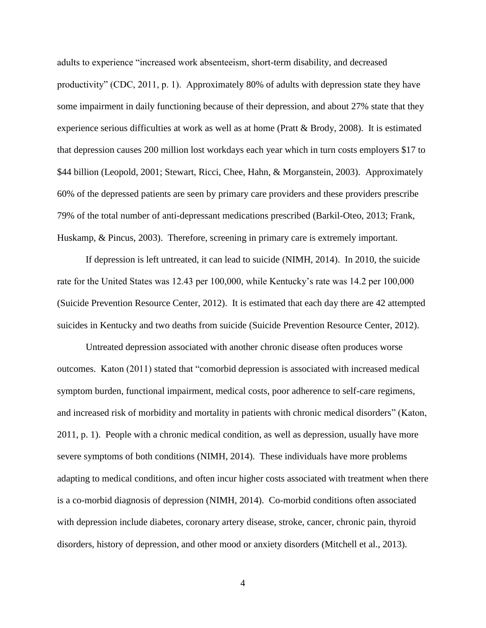adults to experience "increased work absenteeism, short-term disability, and decreased productivity" (CDC, 2011, p. 1). Approximately 80% of adults with depression state they have some impairment in daily functioning because of their depression, and about 27% state that they experience serious difficulties at work as well as at home (Pratt & Brody, 2008). It is estimated that depression causes 200 million lost workdays each year which in turn costs employers \$17 to \$44 billion (Leopold, 2001; Stewart, Ricci, Chee, Hahn, & Morganstein, 2003). Approximately 60% of the depressed patients are seen by primary care providers and these providers prescribe 79% of the total number of anti-depressant medications prescribed (Barkil-Oteo, 2013; Frank, Huskamp, & Pincus, 2003). Therefore, screening in primary care is extremely important.

If depression is left untreated, it can lead to suicide (NIMH, 2014). In 2010, the suicide rate for the United States was 12.43 per 100,000, while Kentucky's rate was 14.2 per 100,000 (Suicide Prevention Resource Center, 2012). It is estimated that each day there are 42 attempted suicides in Kentucky and two deaths from suicide (Suicide Prevention Resource Center, 2012).

Untreated depression associated with another chronic disease often produces worse outcomes. Katon (2011) stated that "comorbid depression is associated with increased medical symptom burden, functional impairment, medical costs, poor adherence to self-care regimens, and increased risk of morbidity and mortality in patients with chronic medical disorders" (Katon, 2011, p. 1). People with a chronic medical condition, as well as depression, usually have more severe symptoms of both conditions (NIMH, 2014). These individuals have more problems adapting to medical conditions, and often incur higher costs associated with treatment when there is a co-morbid diagnosis of depression (NIMH, 2014). Co-morbid conditions often associated with depression include diabetes, coronary artery disease, stroke, cancer, chronic pain, thyroid disorders, history of depression, and other mood or anxiety disorders (Mitchell et al., 2013).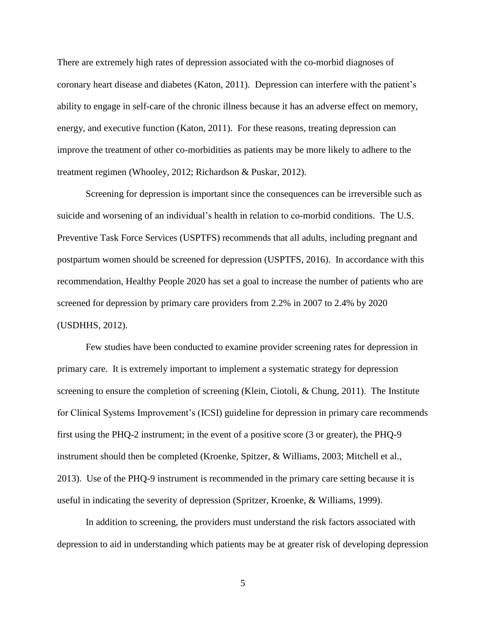There are extremely high rates of depression associated with the co-morbid diagnoses of coronary heart disease and diabetes (Katon, 2011). Depression can interfere with the patient's ability to engage in self-care of the chronic illness because it has an adverse effect on memory, energy, and executive function (Katon, 2011). For these reasons, treating depression can improve the treatment of other co-morbidities as patients may be more likely to adhere to the treatment regimen (Whooley, 2012; Richardson & Puskar, 2012).

Screening for depression is important since the consequences can be irreversible such as suicide and worsening of an individual's health in relation to co-morbid conditions. The U.S. Preventive Task Force Services (USPTFS) recommends that all adults, including pregnant and postpartum women should be screened for depression (USPTFS, 2016). In accordance with this recommendation, Healthy People 2020 has set a goal to increase the number of patients who are screened for depression by primary care providers from 2.2% in 2007 to 2.4% by 2020 (USDHHS, 2012).

Few studies have been conducted to examine provider screening rates for depression in primary care. It is extremely important to implement a systematic strategy for depression screening to ensure the completion of screening (Klein, Ciotoli, & Chung, 2011). The Institute for Clinical Systems Improvement's (ICSI) guideline for depression in primary care recommends first using the PHQ-2 instrument; in the event of a positive score (3 or greater), the PHQ-9 instrument should then be completed (Kroenke, Spitzer, & Williams, 2003; Mitchell et al., 2013). Use of the PHQ-9 instrument is recommended in the primary care setting because it is useful in indicating the severity of depression (Spritzer, Kroenke, & Williams, 1999).

In addition to screening, the providers must understand the risk factors associated with depression to aid in understanding which patients may be at greater risk of developing depression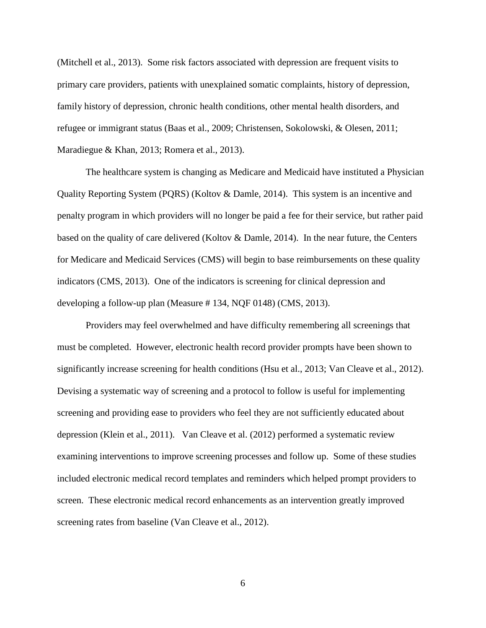(Mitchell et al., 2013). Some risk factors associated with depression are frequent visits to primary care providers, patients with unexplained somatic complaints, history of depression, family history of depression, chronic health conditions, other mental health disorders, and refugee or immigrant status (Baas et al., 2009; Christensen, Sokolowski, & Olesen, 2011; Maradiegue & Khan, 2013; Romera et al., 2013).

The healthcare system is changing as Medicare and Medicaid have instituted a Physician Quality Reporting System (PQRS) (Koltov & Damle, 2014). This system is an incentive and penalty program in which providers will no longer be paid a fee for their service, but rather paid based on the quality of care delivered (Koltov & Damle, 2014). In the near future, the Centers for Medicare and Medicaid Services (CMS) will begin to base reimbursements on these quality indicators (CMS, 2013). One of the indicators is screening for clinical depression and developing a follow-up plan (Measure # 134, NQF 0148) (CMS, 2013).

Providers may feel overwhelmed and have difficulty remembering all screenings that must be completed. However, electronic health record provider prompts have been shown to significantly increase screening for health conditions (Hsu et al., 2013; Van Cleave et al., 2012). Devising a systematic way of screening and a protocol to follow is useful for implementing screening and providing ease to providers who feel they are not sufficiently educated about depression (Klein et al., 2011). Van Cleave et al. (2012) performed a systematic review examining interventions to improve screening processes and follow up. Some of these studies included electronic medical record templates and reminders which helped prompt providers to screen. These electronic medical record enhancements as an intervention greatly improved screening rates from baseline (Van Cleave et al., 2012).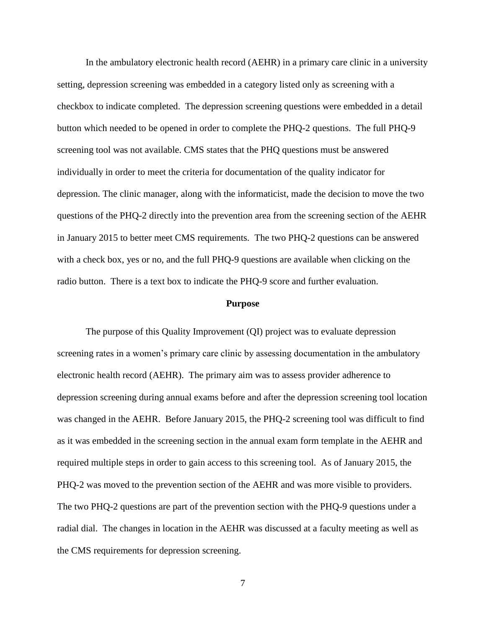In the ambulatory electronic health record (AEHR) in a primary care clinic in a university setting, depression screening was embedded in a category listed only as screening with a checkbox to indicate completed. The depression screening questions were embedded in a detail button which needed to be opened in order to complete the PHQ-2 questions. The full PHQ-9 screening tool was not available. CMS states that the PHQ questions must be answered individually in order to meet the criteria for documentation of the quality indicator for depression. The clinic manager, along with the informaticist, made the decision to move the two questions of the PHQ-2 directly into the prevention area from the screening section of the AEHR in January 2015 to better meet CMS requirements. The two PHQ-2 questions can be answered with a check box, yes or no, and the full PHQ-9 questions are available when clicking on the radio button. There is a text box to indicate the PHQ-9 score and further evaluation.

#### **Purpose**

The purpose of this Quality Improvement (QI) project was to evaluate depression screening rates in a women's primary care clinic by assessing documentation in the ambulatory electronic health record (AEHR). The primary aim was to assess provider adherence to depression screening during annual exams before and after the depression screening tool location was changed in the AEHR. Before January 2015, the PHQ-2 screening tool was difficult to find as it was embedded in the screening section in the annual exam form template in the AEHR and required multiple steps in order to gain access to this screening tool. As of January 2015, the PHQ-2 was moved to the prevention section of the AEHR and was more visible to providers. The two PHQ-2 questions are part of the prevention section with the PHQ-9 questions under a radial dial. The changes in location in the AEHR was discussed at a faculty meeting as well as the CMS requirements for depression screening.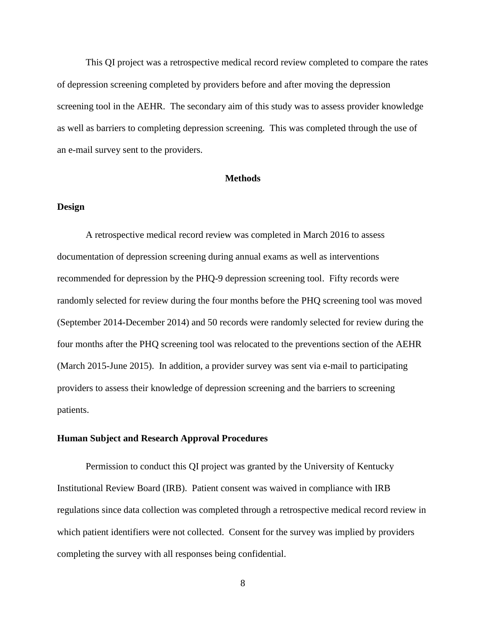This QI project was a retrospective medical record review completed to compare the rates of depression screening completed by providers before and after moving the depression screening tool in the AEHR. The secondary aim of this study was to assess provider knowledge as well as barriers to completing depression screening. This was completed through the use of an e-mail survey sent to the providers.

#### **Methods**

### **Design**

A retrospective medical record review was completed in March 2016 to assess documentation of depression screening during annual exams as well as interventions recommended for depression by the PHQ-9 depression screening tool. Fifty records were randomly selected for review during the four months before the PHQ screening tool was moved (September 2014-December 2014) and 50 records were randomly selected for review during the four months after the PHQ screening tool was relocated to the preventions section of the AEHR (March 2015-June 2015). In addition, a provider survey was sent via e-mail to participating providers to assess their knowledge of depression screening and the barriers to screening patients.

#### **Human Subject and Research Approval Procedures**

Permission to conduct this QI project was granted by the University of Kentucky Institutional Review Board (IRB). Patient consent was waived in compliance with IRB regulations since data collection was completed through a retrospective medical record review in which patient identifiers were not collected. Consent for the survey was implied by providers completing the survey with all responses being confidential.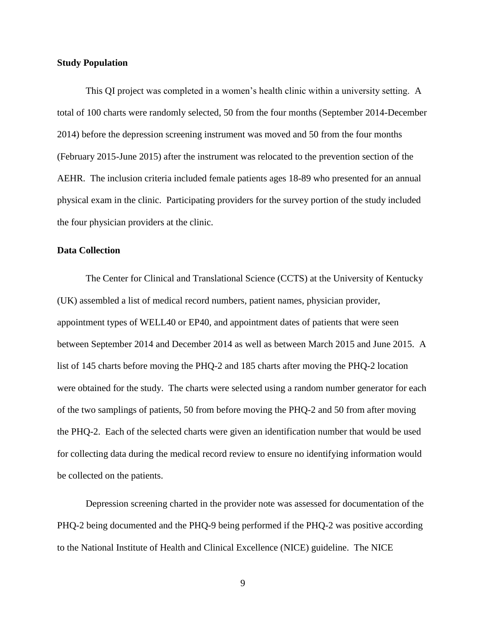#### **Study Population**

This QI project was completed in a women's health clinic within a university setting. A total of 100 charts were randomly selected, 50 from the four months (September 2014-December 2014) before the depression screening instrument was moved and 50 from the four months (February 2015-June 2015) after the instrument was relocated to the prevention section of the AEHR. The inclusion criteria included female patients ages 18-89 who presented for an annual physical exam in the clinic. Participating providers for the survey portion of the study included the four physician providers at the clinic.

### **Data Collection**

The Center for Clinical and Translational Science (CCTS) at the University of Kentucky (UK) assembled a list of medical record numbers, patient names, physician provider, appointment types of WELL40 or EP40, and appointment dates of patients that were seen between September 2014 and December 2014 as well as between March 2015 and June 2015. A list of 145 charts before moving the PHQ-2 and 185 charts after moving the PHQ-2 location were obtained for the study. The charts were selected using a random number generator for each of the two samplings of patients, 50 from before moving the PHQ-2 and 50 from after moving the PHQ-2. Each of the selected charts were given an identification number that would be used for collecting data during the medical record review to ensure no identifying information would be collected on the patients.

Depression screening charted in the provider note was assessed for documentation of the PHQ-2 being documented and the PHQ-9 being performed if the PHQ-2 was positive according to the National Institute of Health and Clinical Excellence (NICE) guideline. The NICE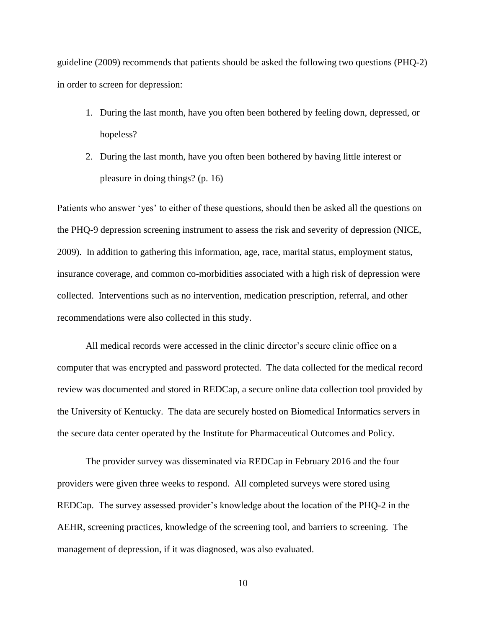guideline (2009) recommends that patients should be asked the following two questions (PHQ-2) in order to screen for depression:

- 1. During the last month, have you often been bothered by feeling down, depressed, or hopeless?
- 2. During the last month, have you often been bothered by having little interest or pleasure in doing things? (p. 16)

Patients who answer 'yes' to either of these questions, should then be asked all the questions on the PHQ-9 depression screening instrument to assess the risk and severity of depression (NICE, 2009). In addition to gathering this information, age, race, marital status, employment status, insurance coverage, and common co-morbidities associated with a high risk of depression were collected. Interventions such as no intervention, medication prescription, referral, and other recommendations were also collected in this study.

All medical records were accessed in the clinic director's secure clinic office on a computer that was encrypted and password protected. The data collected for the medical record review was documented and stored in REDCap, a secure online data collection tool provided by the University of Kentucky. The data are securely hosted on Biomedical Informatics servers in the secure data center operated by the Institute for Pharmaceutical Outcomes and Policy.

The provider survey was disseminated via REDCap in February 2016 and the four providers were given three weeks to respond. All completed surveys were stored using REDCap. The survey assessed provider's knowledge about the location of the PHQ-2 in the AEHR, screening practices, knowledge of the screening tool, and barriers to screening. The management of depression, if it was diagnosed, was also evaluated.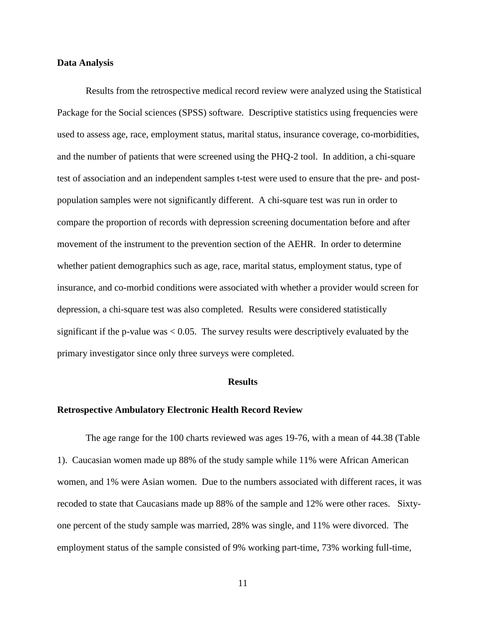#### **Data Analysis**

Results from the retrospective medical record review were analyzed using the Statistical Package for the Social sciences (SPSS) software. Descriptive statistics using frequencies were used to assess age, race, employment status, marital status, insurance coverage, co-morbidities, and the number of patients that were screened using the PHQ-2 tool. In addition, a chi-square test of association and an independent samples t-test were used to ensure that the pre- and postpopulation samples were not significantly different. A chi-square test was run in order to compare the proportion of records with depression screening documentation before and after movement of the instrument to the prevention section of the AEHR. In order to determine whether patient demographics such as age, race, marital status, employment status, type of insurance, and co-morbid conditions were associated with whether a provider would screen for depression, a chi-square test was also completed. Results were considered statistically significant if the p-value was  $< 0.05$ . The survey results were descriptively evaluated by the primary investigator since only three surveys were completed.

#### **Results**

### **Retrospective Ambulatory Electronic Health Record Review**

The age range for the 100 charts reviewed was ages 19-76, with a mean of 44.38 (Table 1). Caucasian women made up 88% of the study sample while 11% were African American women, and 1% were Asian women. Due to the numbers associated with different races, it was recoded to state that Caucasians made up 88% of the sample and 12% were other races. Sixtyone percent of the study sample was married, 28% was single, and 11% were divorced. The employment status of the sample consisted of 9% working part-time, 73% working full-time,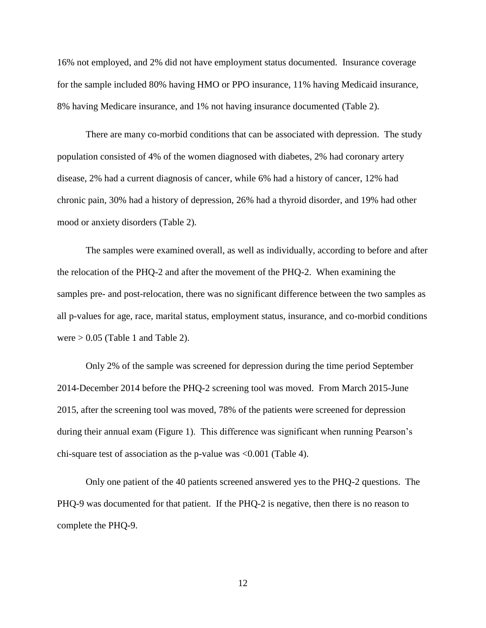16% not employed, and 2% did not have employment status documented. Insurance coverage for the sample included 80% having HMO or PPO insurance, 11% having Medicaid insurance, 8% having Medicare insurance, and 1% not having insurance documented (Table 2).

There are many co-morbid conditions that can be associated with depression. The study population consisted of 4% of the women diagnosed with diabetes, 2% had coronary artery disease, 2% had a current diagnosis of cancer, while 6% had a history of cancer, 12% had chronic pain, 30% had a history of depression, 26% had a thyroid disorder, and 19% had other mood or anxiety disorders (Table 2).

The samples were examined overall, as well as individually, according to before and after the relocation of the PHQ-2 and after the movement of the PHQ-2. When examining the samples pre- and post-relocation, there was no significant difference between the two samples as all p-values for age, race, marital status, employment status, insurance, and co-morbid conditions were  $> 0.05$  (Table 1 and Table 2).

Only 2% of the sample was screened for depression during the time period September 2014-December 2014 before the PHQ-2 screening tool was moved. From March 2015-June 2015, after the screening tool was moved, 78% of the patients were screened for depression during their annual exam (Figure 1). This difference was significant when running Pearson's chi-square test of association as the p-value was <0.001 (Table 4).

Only one patient of the 40 patients screened answered yes to the PHQ-2 questions. The PHQ-9 was documented for that patient. If the PHQ-2 is negative, then there is no reason to complete the PHQ-9.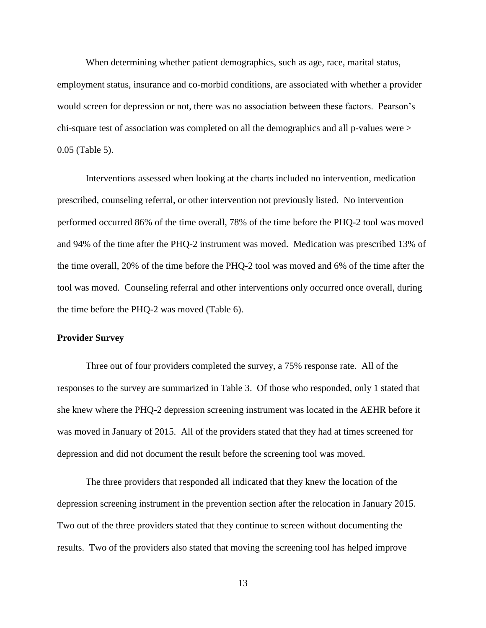When determining whether patient demographics, such as age, race, marital status, employment status, insurance and co-morbid conditions, are associated with whether a provider would screen for depression or not, there was no association between these factors. Pearson's chi-square test of association was completed on all the demographics and all p-values were > 0.05 (Table 5).

Interventions assessed when looking at the charts included no intervention, medication prescribed, counseling referral, or other intervention not previously listed. No intervention performed occurred 86% of the time overall, 78% of the time before the PHQ-2 tool was moved and 94% of the time after the PHQ-2 instrument was moved. Medication was prescribed 13% of the time overall, 20% of the time before the PHQ-2 tool was moved and 6% of the time after the tool was moved. Counseling referral and other interventions only occurred once overall, during the time before the PHQ-2 was moved (Table 6).

#### **Provider Survey**

Three out of four providers completed the survey, a 75% response rate. All of the responses to the survey are summarized in Table 3. Of those who responded, only 1 stated that she knew where the PHQ-2 depression screening instrument was located in the AEHR before it was moved in January of 2015. All of the providers stated that they had at times screened for depression and did not document the result before the screening tool was moved.

The three providers that responded all indicated that they knew the location of the depression screening instrument in the prevention section after the relocation in January 2015. Two out of the three providers stated that they continue to screen without documenting the results. Two of the providers also stated that moving the screening tool has helped improve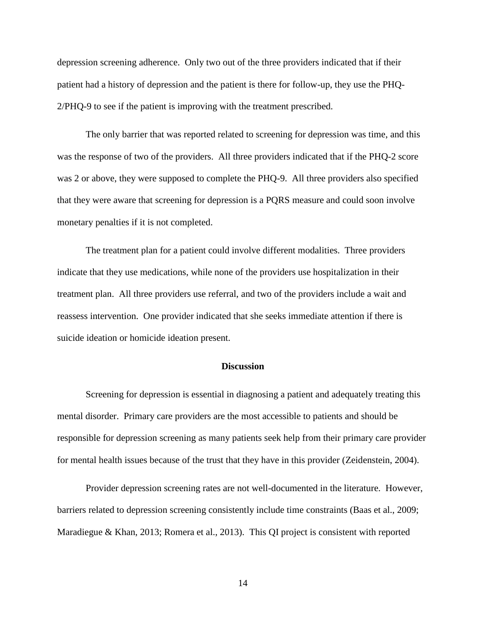depression screening adherence. Only two out of the three providers indicated that if their patient had a history of depression and the patient is there for follow-up, they use the PHQ-2/PHQ-9 to see if the patient is improving with the treatment prescribed.

The only barrier that was reported related to screening for depression was time, and this was the response of two of the providers. All three providers indicated that if the PHQ-2 score was 2 or above, they were supposed to complete the PHQ-9. All three providers also specified that they were aware that screening for depression is a PQRS measure and could soon involve monetary penalties if it is not completed.

The treatment plan for a patient could involve different modalities. Three providers indicate that they use medications, while none of the providers use hospitalization in their treatment plan. All three providers use referral, and two of the providers include a wait and reassess intervention. One provider indicated that she seeks immediate attention if there is suicide ideation or homicide ideation present.

### **Discussion**

Screening for depression is essential in diagnosing a patient and adequately treating this mental disorder. Primary care providers are the most accessible to patients and should be responsible for depression screening as many patients seek help from their primary care provider for mental health issues because of the trust that they have in this provider (Zeidenstein, 2004).

Provider depression screening rates are not well-documented in the literature. However, barriers related to depression screening consistently include time constraints (Baas et al., 2009; Maradiegue & Khan, 2013; Romera et al., 2013). This QI project is consistent with reported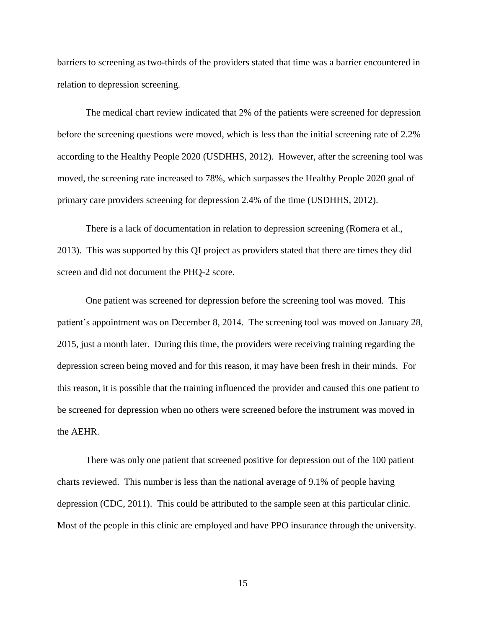barriers to screening as two-thirds of the providers stated that time was a barrier encountered in relation to depression screening.

The medical chart review indicated that 2% of the patients were screened for depression before the screening questions were moved, which is less than the initial screening rate of 2.2% according to the Healthy People 2020 (USDHHS, 2012). However, after the screening tool was moved, the screening rate increased to 78%, which surpasses the Healthy People 2020 goal of primary care providers screening for depression 2.4% of the time (USDHHS, 2012).

There is a lack of documentation in relation to depression screening (Romera et al., 2013). This was supported by this QI project as providers stated that there are times they did screen and did not document the PHQ-2 score.

One patient was screened for depression before the screening tool was moved. This patient's appointment was on December 8, 2014. The screening tool was moved on January 28, 2015, just a month later. During this time, the providers were receiving training regarding the depression screen being moved and for this reason, it may have been fresh in their minds. For this reason, it is possible that the training influenced the provider and caused this one patient to be screened for depression when no others were screened before the instrument was moved in the AEHR.

There was only one patient that screened positive for depression out of the 100 patient charts reviewed. This number is less than the national average of 9.1% of people having depression (CDC, 2011). This could be attributed to the sample seen at this particular clinic. Most of the people in this clinic are employed and have PPO insurance through the university.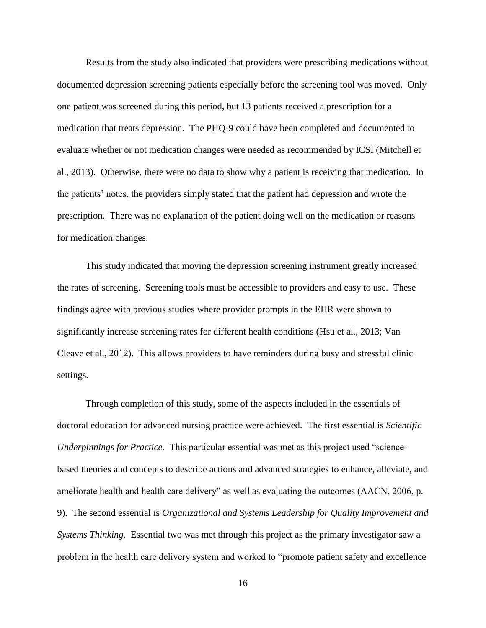Results from the study also indicated that providers were prescribing medications without documented depression screening patients especially before the screening tool was moved. Only one patient was screened during this period, but 13 patients received a prescription for a medication that treats depression. The PHQ-9 could have been completed and documented to evaluate whether or not medication changes were needed as recommended by ICSI (Mitchell et al., 2013). Otherwise, there were no data to show why a patient is receiving that medication. In the patients' notes, the providers simply stated that the patient had depression and wrote the prescription. There was no explanation of the patient doing well on the medication or reasons for medication changes.

This study indicated that moving the depression screening instrument greatly increased the rates of screening. Screening tools must be accessible to providers and easy to use. These findings agree with previous studies where provider prompts in the EHR were shown to significantly increase screening rates for different health conditions (Hsu et al., 2013; Van Cleave et al., 2012). This allows providers to have reminders during busy and stressful clinic settings.

Through completion of this study, some of the aspects included in the essentials of doctoral education for advanced nursing practice were achieved. The first essential is *Scientific Underpinnings for Practice.* This particular essential was met as this project used "sciencebased theories and concepts to describe actions and advanced strategies to enhance, alleviate, and ameliorate health and health care delivery" as well as evaluating the outcomes (AACN, 2006, p. 9). The second essential is *Organizational and Systems Leadership for Quality Improvement and Systems Thinking.* Essential two was met through this project as the primary investigator saw a problem in the health care delivery system and worked to "promote patient safety and excellence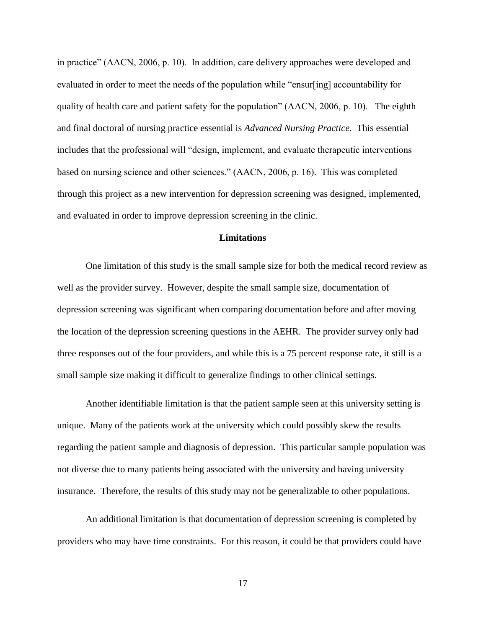in practice" (AACN, 2006, p. 10). In addition, care delivery approaches were developed and evaluated in order to meet the needs of the population while "ensur[ing] accountability for quality of health care and patient safety for the population" (AACN, 2006, p. 10). The eighth and final doctoral of nursing practice essential is *Advanced Nursing Practice.* This essential includes that the professional will "design, implement, and evaluate therapeutic interventions based on nursing science and other sciences." (AACN, 2006, p. 16). This was completed through this project as a new intervention for depression screening was designed, implemented, and evaluated in order to improve depression screening in the clinic.

# **Limitations**

One limitation of this study is the small sample size for both the medical record review as well as the provider survey. However, despite the small sample size, documentation of depression screening was significant when comparing documentation before and after moving the location of the depression screening questions in the AEHR. The provider survey only had three responses out of the four providers, and while this is a 75 percent response rate, it still is a small sample size making it difficult to generalize findings to other clinical settings.

Another identifiable limitation is that the patient sample seen at this university setting is unique. Many of the patients work at the university which could possibly skew the results regarding the patient sample and diagnosis of depression. This particular sample population was not diverse due to many patients being associated with the university and having university insurance. Therefore, the results of this study may not be generalizable to other populations.

An additional limitation is that documentation of depression screening is completed by providers who may have time constraints. For this reason, it could be that providers could have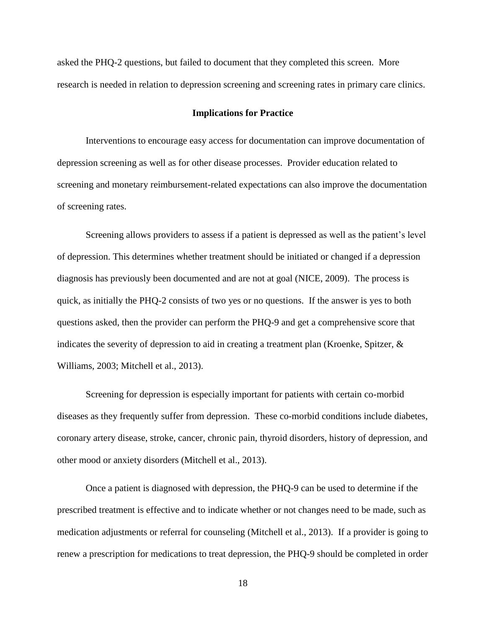asked the PHQ-2 questions, but failed to document that they completed this screen. More research is needed in relation to depression screening and screening rates in primary care clinics.

#### **Implications for Practice**

Interventions to encourage easy access for documentation can improve documentation of depression screening as well as for other disease processes. Provider education related to screening and monetary reimbursement-related expectations can also improve the documentation of screening rates.

Screening allows providers to assess if a patient is depressed as well as the patient's level of depression. This determines whether treatment should be initiated or changed if a depression diagnosis has previously been documented and are not at goal (NICE, 2009). The process is quick, as initially the PHQ-2 consists of two yes or no questions. If the answer is yes to both questions asked, then the provider can perform the PHQ-9 and get a comprehensive score that indicates the severity of depression to aid in creating a treatment plan (Kroenke, Spitzer, & Williams, 2003; Mitchell et al., 2013).

Screening for depression is especially important for patients with certain co-morbid diseases as they frequently suffer from depression. These co-morbid conditions include diabetes, coronary artery disease, stroke, cancer, chronic pain, thyroid disorders, history of depression, and other mood or anxiety disorders (Mitchell et al., 2013).

Once a patient is diagnosed with depression, the PHQ-9 can be used to determine if the prescribed treatment is effective and to indicate whether or not changes need to be made, such as medication adjustments or referral for counseling (Mitchell et al., 2013). If a provider is going to renew a prescription for medications to treat depression, the PHQ-9 should be completed in order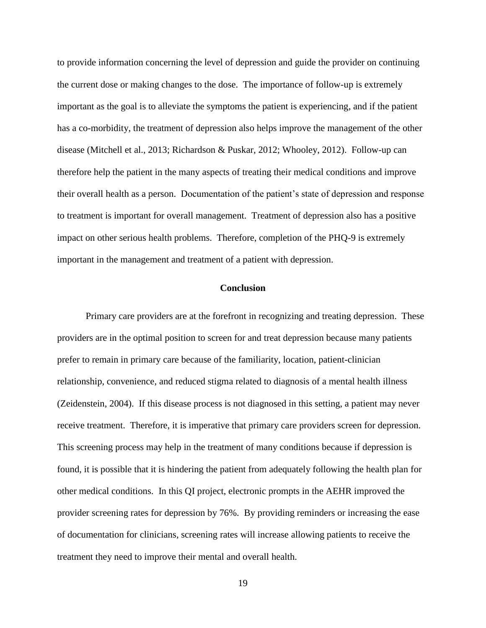to provide information concerning the level of depression and guide the provider on continuing the current dose or making changes to the dose. The importance of follow-up is extremely important as the goal is to alleviate the symptoms the patient is experiencing, and if the patient has a co-morbidity, the treatment of depression also helps improve the management of the other disease (Mitchell et al., 2013; Richardson & Puskar, 2012; Whooley, 2012). Follow-up can therefore help the patient in the many aspects of treating their medical conditions and improve their overall health as a person. Documentation of the patient's state of depression and response to treatment is important for overall management. Treatment of depression also has a positive impact on other serious health problems. Therefore, completion of the PHQ-9 is extremely important in the management and treatment of a patient with depression.

# **Conclusion**

Primary care providers are at the forefront in recognizing and treating depression. These providers are in the optimal position to screen for and treat depression because many patients prefer to remain in primary care because of the familiarity, location, patient-clinician relationship, convenience, and reduced stigma related to diagnosis of a mental health illness (Zeidenstein, 2004). If this disease process is not diagnosed in this setting, a patient may never receive treatment. Therefore, it is imperative that primary care providers screen for depression. This screening process may help in the treatment of many conditions because if depression is found, it is possible that it is hindering the patient from adequately following the health plan for other medical conditions. In this QI project, electronic prompts in the AEHR improved the provider screening rates for depression by 76%. By providing reminders or increasing the ease of documentation for clinicians, screening rates will increase allowing patients to receive the treatment they need to improve their mental and overall health.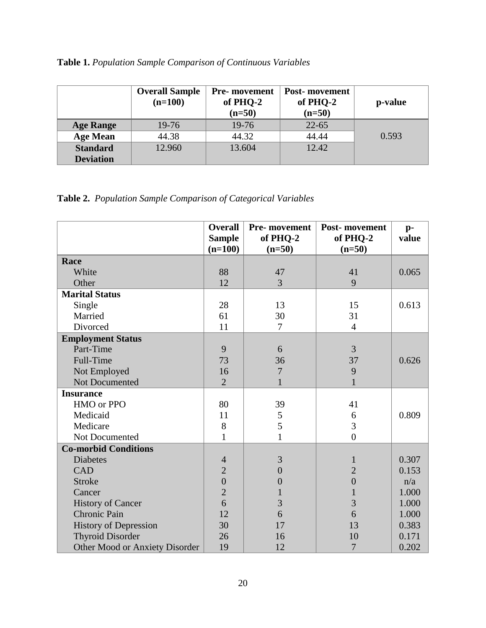|  | Table 1. Population Sample Comparison of Continuous Variables |  |  |  |  |  |  |
|--|---------------------------------------------------------------|--|--|--|--|--|--|
|--|---------------------------------------------------------------|--|--|--|--|--|--|

|                  | <b>Overall Sample</b><br>$(n=100)$ | <b>Pre-</b> movement<br>of PHQ-2<br>$(n=50)$ | <b>Post-</b> movement<br>of PHQ-2<br>$(n=50)$ | p-value |
|------------------|------------------------------------|----------------------------------------------|-----------------------------------------------|---------|
| <b>Age Range</b> | 19-76                              | 19-76                                        | $22 - 65$                                     |         |
| <b>Age Mean</b>  | 44.38                              | 44.32                                        | 44.44                                         | 0.593   |
| <b>Standard</b>  | 12.960                             | 13.604                                       | 12.42                                         |         |
| <b>Deviation</b> |                                    |                                              |                                               |         |

|  |  |  | Table 2. Population Sample Comparison of Categorical Variables |  |  |  |
|--|--|--|----------------------------------------------------------------|--|--|--|
|--|--|--|----------------------------------------------------------------|--|--|--|

|                                | <b>Overall</b><br><b>Sample</b> | Pre- movement<br>of PHQ-2 | Post-movement<br>of PHQ-2 | $p-$<br>value |
|--------------------------------|---------------------------------|---------------------------|---------------------------|---------------|
|                                | $(n=100)$                       | $(n=50)$                  | $(n=50)$                  |               |
| Race                           |                                 |                           |                           |               |
| White                          | 88                              | 47                        | 41                        | 0.065         |
| Other                          | 12                              | 3                         | 9                         |               |
| <b>Marital Status</b>          |                                 |                           |                           |               |
| Single                         | 28                              | 13                        | 15                        | 0.613         |
| Married                        | 61                              | 30                        | 31                        |               |
| Divorced                       | 11                              | 7                         | $\overline{4}$            |               |
| <b>Employment Status</b>       |                                 |                           |                           |               |
| Part-Time                      | 9                               | 6                         | 3                         |               |
| Full-Time                      | 73                              | 36                        | 37                        | 0.626         |
| Not Employed                   | 16                              | 7                         | 9                         |               |
| Not Documented                 | $\overline{2}$                  | 1                         | 1                         |               |
| <b>Insurance</b>               |                                 |                           |                           |               |
| HMO or PPO                     | 80                              | 39                        | 41                        |               |
| Medicaid                       | 11                              | 5                         | 6                         | 0.809         |
| Medicare                       | 8                               | $\overline{5}$            | 3                         |               |
| Not Documented                 | $\mathbf{1}$                    | 1                         | $\overline{0}$            |               |
| <b>Co-morbid Conditions</b>    |                                 |                           |                           |               |
| <b>Diabetes</b>                | $\overline{4}$                  | 3                         | 1                         | 0.307         |
| <b>CAD</b>                     | $\overline{2}$                  | $\overline{0}$            | $\overline{2}$            | 0.153         |
| <b>Stroke</b>                  | $\overline{0}$                  | $\overline{0}$            | $\overline{0}$            | n/a           |
| Cancer                         | $\overline{2}$                  |                           |                           | 1.000         |
| <b>History of Cancer</b>       | 6                               | 3                         | $\overline{3}$            | 1.000         |
| Chronic Pain                   | 12                              | 6                         | 6                         | 1.000         |
| <b>History of Depression</b>   | 30                              | 17                        | 13                        | 0.383         |
| <b>Thyroid Disorder</b>        | 26                              | 16                        | 10                        | 0.171         |
| Other Mood or Anxiety Disorder | 19                              | 12                        | $\overline{7}$            | 0.202         |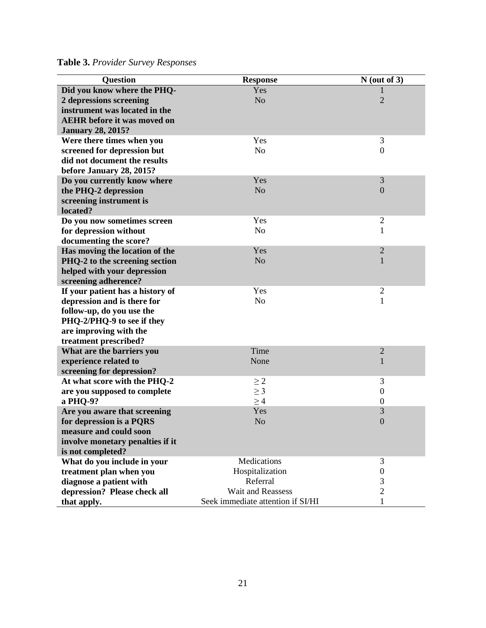**Table 3.** *Provider Survey Responses*

| <b>Question</b>                                                                                                                                                                                                                                                                                                                                                                                                                                                                                                                                                                                                                                                                                                                                            | <b>Response</b>                                                                                                                                                                                                                     | $N$ (out of 3)                                                                                                                                                                                                         |
|------------------------------------------------------------------------------------------------------------------------------------------------------------------------------------------------------------------------------------------------------------------------------------------------------------------------------------------------------------------------------------------------------------------------------------------------------------------------------------------------------------------------------------------------------------------------------------------------------------------------------------------------------------------------------------------------------------------------------------------------------------|-------------------------------------------------------------------------------------------------------------------------------------------------------------------------------------------------------------------------------------|------------------------------------------------------------------------------------------------------------------------------------------------------------------------------------------------------------------------|
| Did you know where the PHQ-                                                                                                                                                                                                                                                                                                                                                                                                                                                                                                                                                                                                                                                                                                                                | Yes                                                                                                                                                                                                                                 |                                                                                                                                                                                                                        |
| 2 depressions screening                                                                                                                                                                                                                                                                                                                                                                                                                                                                                                                                                                                                                                                                                                                                    | N <sub>o</sub>                                                                                                                                                                                                                      | $\overline{2}$                                                                                                                                                                                                         |
| instrument was located in the                                                                                                                                                                                                                                                                                                                                                                                                                                                                                                                                                                                                                                                                                                                              |                                                                                                                                                                                                                                     |                                                                                                                                                                                                                        |
| <b>AEHR</b> before it was moved on                                                                                                                                                                                                                                                                                                                                                                                                                                                                                                                                                                                                                                                                                                                         |                                                                                                                                                                                                                                     |                                                                                                                                                                                                                        |
| <b>January 28, 2015?</b>                                                                                                                                                                                                                                                                                                                                                                                                                                                                                                                                                                                                                                                                                                                                   |                                                                                                                                                                                                                                     |                                                                                                                                                                                                                        |
| Were there times when you                                                                                                                                                                                                                                                                                                                                                                                                                                                                                                                                                                                                                                                                                                                                  | Yes                                                                                                                                                                                                                                 | 3                                                                                                                                                                                                                      |
| screened for depression but                                                                                                                                                                                                                                                                                                                                                                                                                                                                                                                                                                                                                                                                                                                                | N <sub>o</sub>                                                                                                                                                                                                                      | $\boldsymbol{0}$                                                                                                                                                                                                       |
| did not document the results                                                                                                                                                                                                                                                                                                                                                                                                                                                                                                                                                                                                                                                                                                                               |                                                                                                                                                                                                                                     |                                                                                                                                                                                                                        |
| before January 28, 2015?                                                                                                                                                                                                                                                                                                                                                                                                                                                                                                                                                                                                                                                                                                                                   |                                                                                                                                                                                                                                     |                                                                                                                                                                                                                        |
| Do you currently know where                                                                                                                                                                                                                                                                                                                                                                                                                                                                                                                                                                                                                                                                                                                                | Yes                                                                                                                                                                                                                                 | 3                                                                                                                                                                                                                      |
| the PHQ-2 depression                                                                                                                                                                                                                                                                                                                                                                                                                                                                                                                                                                                                                                                                                                                                       | N <sub>o</sub>                                                                                                                                                                                                                      | $\overline{0}$                                                                                                                                                                                                         |
| screening instrument is                                                                                                                                                                                                                                                                                                                                                                                                                                                                                                                                                                                                                                                                                                                                    |                                                                                                                                                                                                                                     |                                                                                                                                                                                                                        |
| located?                                                                                                                                                                                                                                                                                                                                                                                                                                                                                                                                                                                                                                                                                                                                                   |                                                                                                                                                                                                                                     |                                                                                                                                                                                                                        |
| Do you now sometimes screen                                                                                                                                                                                                                                                                                                                                                                                                                                                                                                                                                                                                                                                                                                                                | Yes                                                                                                                                                                                                                                 | $\overline{c}$                                                                                                                                                                                                         |
| for depression without                                                                                                                                                                                                                                                                                                                                                                                                                                                                                                                                                                                                                                                                                                                                     | N <sub>o</sub>                                                                                                                                                                                                                      | 1                                                                                                                                                                                                                      |
| documenting the score?                                                                                                                                                                                                                                                                                                                                                                                                                                                                                                                                                                                                                                                                                                                                     |                                                                                                                                                                                                                                     |                                                                                                                                                                                                                        |
|                                                                                                                                                                                                                                                                                                                                                                                                                                                                                                                                                                                                                                                                                                                                                            |                                                                                                                                                                                                                                     |                                                                                                                                                                                                                        |
|                                                                                                                                                                                                                                                                                                                                                                                                                                                                                                                                                                                                                                                                                                                                                            |                                                                                                                                                                                                                                     | $\mathbf{1}$                                                                                                                                                                                                           |
|                                                                                                                                                                                                                                                                                                                                                                                                                                                                                                                                                                                                                                                                                                                                                            |                                                                                                                                                                                                                                     |                                                                                                                                                                                                                        |
|                                                                                                                                                                                                                                                                                                                                                                                                                                                                                                                                                                                                                                                                                                                                                            |                                                                                                                                                                                                                                     |                                                                                                                                                                                                                        |
|                                                                                                                                                                                                                                                                                                                                                                                                                                                                                                                                                                                                                                                                                                                                                            |                                                                                                                                                                                                                                     |                                                                                                                                                                                                                        |
|                                                                                                                                                                                                                                                                                                                                                                                                                                                                                                                                                                                                                                                                                                                                                            |                                                                                                                                                                                                                                     |                                                                                                                                                                                                                        |
|                                                                                                                                                                                                                                                                                                                                                                                                                                                                                                                                                                                                                                                                                                                                                            |                                                                                                                                                                                                                                     |                                                                                                                                                                                                                        |
|                                                                                                                                                                                                                                                                                                                                                                                                                                                                                                                                                                                                                                                                                                                                                            |                                                                                                                                                                                                                                     |                                                                                                                                                                                                                        |
|                                                                                                                                                                                                                                                                                                                                                                                                                                                                                                                                                                                                                                                                                                                                                            |                                                                                                                                                                                                                                     |                                                                                                                                                                                                                        |
|                                                                                                                                                                                                                                                                                                                                                                                                                                                                                                                                                                                                                                                                                                                                                            |                                                                                                                                                                                                                                     |                                                                                                                                                                                                                        |
|                                                                                                                                                                                                                                                                                                                                                                                                                                                                                                                                                                                                                                                                                                                                                            |                                                                                                                                                                                                                                     |                                                                                                                                                                                                                        |
|                                                                                                                                                                                                                                                                                                                                                                                                                                                                                                                                                                                                                                                                                                                                                            |                                                                                                                                                                                                                                     |                                                                                                                                                                                                                        |
|                                                                                                                                                                                                                                                                                                                                                                                                                                                                                                                                                                                                                                                                                                                                                            |                                                                                                                                                                                                                                     |                                                                                                                                                                                                                        |
|                                                                                                                                                                                                                                                                                                                                                                                                                                                                                                                                                                                                                                                                                                                                                            |                                                                                                                                                                                                                                     |                                                                                                                                                                                                                        |
|                                                                                                                                                                                                                                                                                                                                                                                                                                                                                                                                                                                                                                                                                                                                                            |                                                                                                                                                                                                                                     |                                                                                                                                                                                                                        |
|                                                                                                                                                                                                                                                                                                                                                                                                                                                                                                                                                                                                                                                                                                                                                            |                                                                                                                                                                                                                                     |                                                                                                                                                                                                                        |
|                                                                                                                                                                                                                                                                                                                                                                                                                                                                                                                                                                                                                                                                                                                                                            |                                                                                                                                                                                                                                     |                                                                                                                                                                                                                        |
|                                                                                                                                                                                                                                                                                                                                                                                                                                                                                                                                                                                                                                                                                                                                                            |                                                                                                                                                                                                                                     |                                                                                                                                                                                                                        |
|                                                                                                                                                                                                                                                                                                                                                                                                                                                                                                                                                                                                                                                                                                                                                            |                                                                                                                                                                                                                                     |                                                                                                                                                                                                                        |
|                                                                                                                                                                                                                                                                                                                                                                                                                                                                                                                                                                                                                                                                                                                                                            |                                                                                                                                                                                                                                     |                                                                                                                                                                                                                        |
|                                                                                                                                                                                                                                                                                                                                                                                                                                                                                                                                                                                                                                                                                                                                                            |                                                                                                                                                                                                                                     |                                                                                                                                                                                                                        |
|                                                                                                                                                                                                                                                                                                                                                                                                                                                                                                                                                                                                                                                                                                                                                            |                                                                                                                                                                                                                                     |                                                                                                                                                                                                                        |
|                                                                                                                                                                                                                                                                                                                                                                                                                                                                                                                                                                                                                                                                                                                                                            |                                                                                                                                                                                                                                     |                                                                                                                                                                                                                        |
|                                                                                                                                                                                                                                                                                                                                                                                                                                                                                                                                                                                                                                                                                                                                                            |                                                                                                                                                                                                                                     |                                                                                                                                                                                                                        |
|                                                                                                                                                                                                                                                                                                                                                                                                                                                                                                                                                                                                                                                                                                                                                            |                                                                                                                                                                                                                                     |                                                                                                                                                                                                                        |
| Has moving the location of the<br>PHQ-2 to the screening section<br>helped with your depression<br>screening adherence?<br>If your patient has a history of<br>depression and is there for<br>follow-up, do you use the<br>PHQ-2/PHQ-9 to see if they<br>are improving with the<br>treatment prescribed?<br>What are the barriers you<br>experience related to<br>screening for depression?<br>At what score with the PHQ-2<br>are you supposed to complete<br>a PHQ-9?<br>Are you aware that screening<br>for depression is a PQRS<br>measure and could soon<br>involve monetary penalties if it<br>is not completed?<br>What do you include in your<br>treatment plan when you<br>diagnose a patient with<br>depression? Please check all<br>that apply. | Yes<br>N <sub>o</sub><br>Yes<br>N <sub>o</sub><br>Time<br>None<br>$\geq 2$<br>$\geq$ 3<br>$\geq 4$<br>Yes<br>N <sub>o</sub><br>Medications<br>Hospitalization<br>Referral<br>Wait and Reassess<br>Seek immediate attention if SI/HI | $\overline{c}$<br>$\mathbf{2}$<br>$\mathbf{1}$<br>$\overline{2}$<br>$\mathbf{1}$<br>3<br>$\boldsymbol{0}$<br>$\boldsymbol{0}$<br>$\mathfrak{Z}$<br>$\overline{0}$<br>3<br>$\boldsymbol{0}$<br>3<br>$\overline{2}$<br>1 |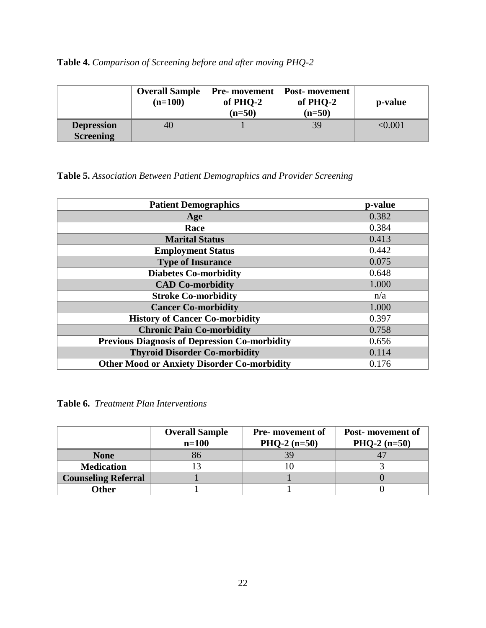| Table 4. Comparison of Screening before and after moving PHQ-2 |  |
|----------------------------------------------------------------|--|
|----------------------------------------------------------------|--|

|                                       | <b>Overall Sample</b><br>$(n=100)$ | <b>Pre-</b> movement<br>of PHO-2<br>$(n=50)$ | <b>Post-</b> movement<br>of PHQ-2<br>$(n=50)$ | p-value      |
|---------------------------------------|------------------------------------|----------------------------------------------|-----------------------------------------------|--------------|
| <b>Depression</b><br><b>Screening</b> | 40                                 |                                              | 39                                            | $<\!\!0.001$ |

# **Table 5.** *Association Between Patient Demographics and Provider Screening*

| <b>Patient Demographics</b>                          | p-value |
|------------------------------------------------------|---------|
| Age                                                  | 0.382   |
| Race                                                 | 0.384   |
| <b>Marital Status</b>                                | 0.413   |
| <b>Employment Status</b>                             | 0.442   |
| <b>Type of Insurance</b>                             | 0.075   |
| <b>Diabetes Co-morbidity</b>                         | 0.648   |
| <b>CAD Co-morbidity</b>                              | 1.000   |
| <b>Stroke Co-morbidity</b>                           | n/a     |
| <b>Cancer Co-morbidity</b>                           | 1.000   |
| <b>History of Cancer Co-morbidity</b>                | 0.397   |
| <b>Chronic Pain Co-morbidity</b>                     | 0.758   |
| <b>Previous Diagnosis of Depression Co-morbidity</b> | 0.656   |
| <b>Thyroid Disorder Co-morbidity</b>                 | 0.114   |
| <b>Other Mood or Anxiety Disorder Co-morbidity</b>   | 0.176   |

**Table 6.** *Treatment Plan Interventions*

|                            | <b>Overall Sample</b><br>$n=100$ | <b>Pre-</b> movement of<br>$PHQ-2 (n=50)$ | Post-movement of<br>PHQ-2 $(n=50)$ |
|----------------------------|----------------------------------|-------------------------------------------|------------------------------------|
| <b>None</b>                | 86                               | 39                                        |                                    |
| <b>Medication</b>          |                                  |                                           |                                    |
| <b>Counseling Referral</b> |                                  |                                           |                                    |
| <b>Other</b>               |                                  |                                           |                                    |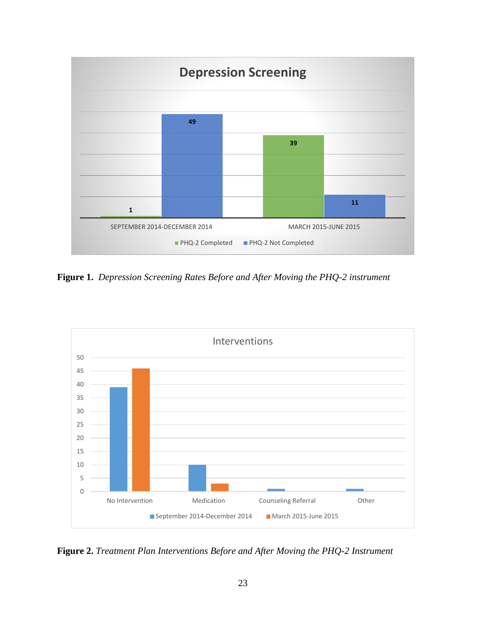

**Figure 1.** *Depression Screening Rates Before and After Moving the PHQ-2 instrument*



**Figure 2.** *Treatment Plan Interventions Before and After Moving the PHQ-2 Instrument*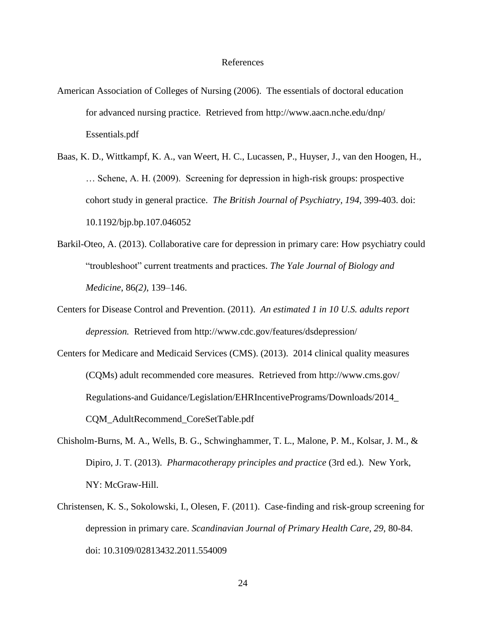#### References

- American Association of Colleges of Nursing (2006). The essentials of doctoral education for advanced nursing practice. Retrieved from http://www.aacn.nche.edu/dnp/ Essentials.pdf
- Baas, K. D., Wittkampf, K. A., van Weert, H. C., Lucassen, P., Huyser, J., van den Hoogen, H., … Schene, A. H. (2009). Screening for depression in high-risk groups: prospective cohort study in general practice. *The British Journal of Psychiatry, 194,* 399-403. doi: 10.1192/bjp.bp.107.046052
- Barkil-Oteo, A. (2013). Collaborative care for depression in primary care: How psychiatry could "troubleshoot" current treatments and practices. *The Yale Journal of Biology and Medicine*, 86*(2)*, 139–146.
- Centers for Disease Control and Prevention. (2011). *An estimated 1 in 10 U.S. adults report depression.* Retrieved from http://www.cdc.gov/features/dsdepression/
- Centers for Medicare and Medicaid Services (CMS). (2013). 2014 clinical quality measures (CQMs) adult recommended core measures. Retrieved from [http://www.cms.gov/](http://www.cms.gov/%09Regulations-and%20Guidance/Legislation/EHRIncentivePrograms/Downloads/) [Regulations-and Guidance/Legislation/EHRIncentivePrograms/Downloads/2](http://www.cms.gov/%09Regulations-and%20Guidance/Legislation/EHRIncentivePrograms/Downloads/)014\_ CQM\_AdultRecommend\_CoreSetTable.pdf
- Chisholm-Burns, M. A., Wells, B. G., Schwinghammer, T. L., Malone, P. M., Kolsar, J. M., & Dipiro, J. T. (2013). *Pharmacotherapy principles and practice* (3rd ed.). New York, NY: McGraw-Hill.
- Christensen, K. S., Sokolowski, I., Olesen, F. (2011). Case-finding and risk-group screening for depression in primary care. *Scandinavian Journal of Primary Health Care, 29,* 80-84. doi: 10.3109/02813432.2011.554009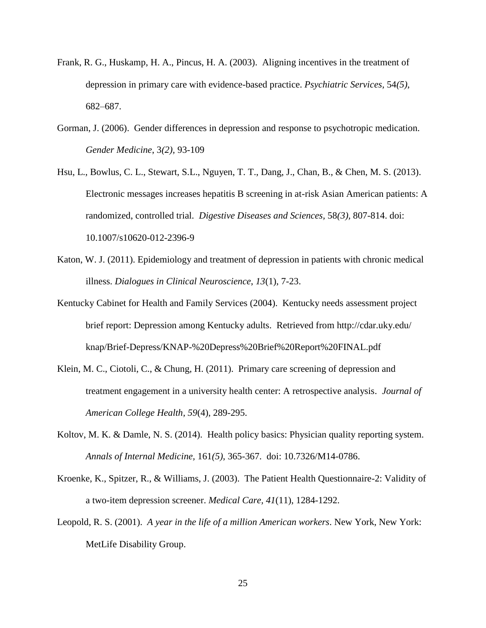- Frank, R. G., Huskamp, H. A., Pincus, H. A. (2003). Aligning incentives in the treatment of depression in primary care with evidence-based practice. *Psychiatric Services,* 54*(5)*, 682–687.
- Gorman, J. (2006). Gender differences in depression and response to psychotropic medication. *Gender Medicine*, 3*(2),* 93-109
- Hsu, L., Bowlus, C. L., Stewart, S.L., Nguyen, T. T., Dang, J., Chan, B., & Chen, M. S. (2013). Electronic messages increases hepatitis B screening in at-risk Asian American patients: A randomized, controlled trial. *Digestive Diseases and Sciences,* 58*(3),* 807-814. doi: 10.1007/s10620-012-2396-9
- Katon, W. J. (2011). Epidemiology and treatment of depression in patients with chronic medical illness. *Dialogues in Clinical Neuroscience*, *13*(1), 7-23.
- Kentucky Cabinet for Health and Family Services (2004). Kentucky needs assessment project brief report: Depression among Kentucky adults. Retrieved from<http://cdar.uky.edu/> knap/Brief-Depress/KNAP-%20Depress%20Brief%20Report%20FINAL.pdf
- Klein, M. C., Ciotoli, C., & Chung, H. (2011). Primary care screening of depression and treatment engagement in a university health center: A retrospective analysis. *Journal of American College Health, 59*(4), 289-295.
- Koltov, M. K. & Damle, N. S. (2014). Health policy basics: Physician quality reporting system. *Annals of Internal Medicine,* 161*(5)*, 365-367. doi: 10.7326/M14-0786.
- Kroenke, K., Spitzer, R., & Williams, J. (2003). The Patient Health Questionnaire-2: Validity of a two-item depression screener. *Medical Care, 41*(11), 1284-1292.
- Leopold, R. S. (2001). *A year in the life of a million American workers*. New York, New York: MetLife Disability Group.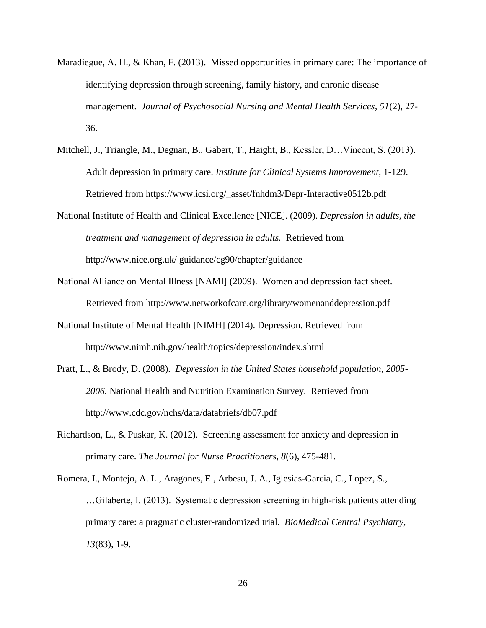- Maradiegue, A. H., & Khan, F. (2013). Missed opportunities in primary care: The importance of identifying depression through screening, family history, and chronic disease management. *Journal of Psychosocial Nursing and Mental Health Services, 51*(2), 27- 36.
- Mitchell, J., Triangle, M., Degnan, B., Gabert, T., Haight, B., Kessler, D…Vincent, S. (2013). Adult depression in primary care. *Institute for Clinical Systems Improvement*, 1-129. Retrieved from https://www.icsi.org/\_asset/fnhdm3/Depr-Interactive0512b.pdf
- National Institute of Health and Clinical Excellence [NICE]. (2009). *Depression in adults, the treatment and management of depression in adults.* Retrieved from http://www.nice.org.uk/ guidance/cg90/chapter/guidance
- National Alliance on Mental Illness [NAMI] (2009). Women and depression fact sheet. Retrieved from http://www.networkofcare.org/library/womenanddepression.pdf
- National Institute of Mental Health [NIMH] (2014). Depression. Retrieved from <http://www.nimh.nih.gov/health/topics/depression/index.shtml>
- Pratt, L., & Brody, D. (2008). *Depression in the United States household population, 2005- 2006.* National Health and Nutrition Examination Survey. Retrieved from http://www.cdc.gov/nchs/data/databriefs/db07.pdf
- Richardson, L., & Puskar, K. (2012). Screening assessment for anxiety and depression in primary care. *The Journal for Nurse Practitioners, 8*(6), 475-481.

Romera, I., Montejo, A. L., Aragones, E., Arbesu, J. A., Iglesias-Garcia, C., Lopez, S., …Gilaberte, I. (2013). Systematic depression screening in high-risk patients attending primary care: a pragmatic cluster-randomized trial. *BioMedical Central Psychiatry, 13*(83), 1-9.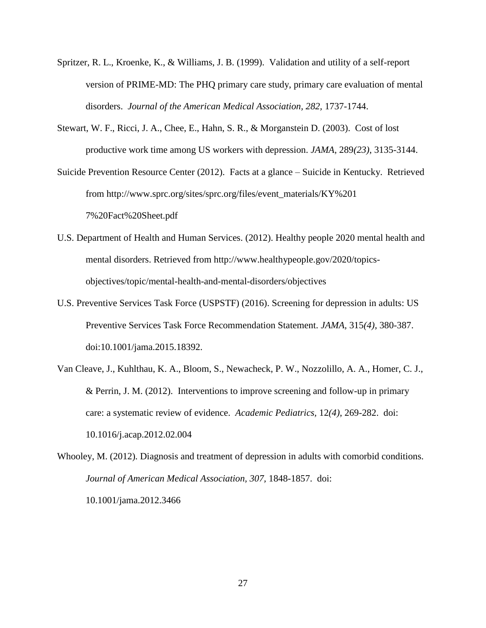- Spritzer, R. L., Kroenke, K., & Williams, J. B. (1999). Validation and utility of a self-report version of PRIME-MD: The PHQ primary care study, primary care evaluation of mental disorders. *Journal of the American Medical Association, 282,* 1737-1744.
- Stewart, W. F., Ricci, J. A., Chee, E., Hahn, S. R., & Morganstein D. (2003). Cost of lost productive work time among US workers with depression. *JAMA,* 289*(23)*, 3135-3144.

Suicide Prevention Resource Center (2012). Facts at a glance – Suicide in Kentucky. Retrieved from http://www.sprc.org/sites/sprc.org/files/event\_materials/KY%201 7%20Fact%20Sheet.pdf

- U.S. Department of Health and Human Services. (2012). Healthy people 2020 mental health and mental disorders. Retrieved from http://www.healthypeople.gov/2020/topicsobjectives/topic/mental-health-and-mental-disorders/objectives
- U.S. Preventive Services Task Force (USPSTF) (2016). Screening for depression in adults: US Preventive Services Task Force Recommendation Statement. *JAMA,* 315*(4)*, 380-387. doi:10.1001/jama.2015.18392.
- Van Cleave, J., Kuhlthau, K. A., Bloom, S., Newacheck, P. W., Nozzolillo, A. A., Homer, C. J., & Perrin, J. M. (2012). Interventions to improve screening and follow-up in primary care: a systematic review of evidence. *Academic Pediatrics,* 12*(4)*, 269-282. doi: 10.1016/j.acap.2012.02.004

Whooley, M. (2012). Diagnosis and treatment of depression in adults with comorbid conditions. *Journal of American Medical Association, 307,* 1848-1857. doi: 10.1001/jama.2012.3466